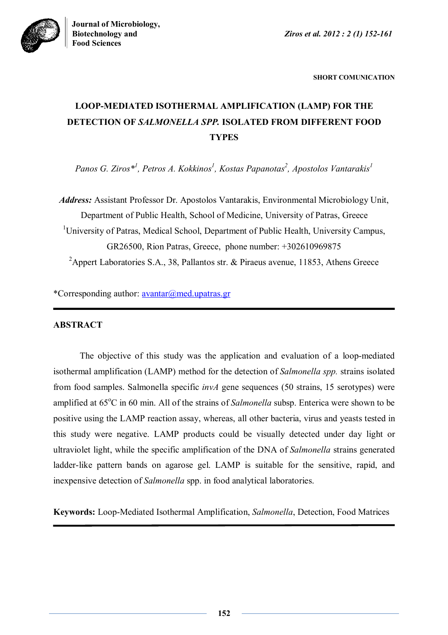



**SHORT COMUNICATION**

# **LOOP-MEDIATED ISOTHERMAL AMPLIFICATION (LAMP) FOR THE DETECTION OF** *SALMONELLA SPP.* **ISOLATED FROM DIFFERENT FOOD TYPES**

*Panos G. Ziros\* 1 , Petros A. Kokkinos<sup>1</sup> , Kostas Papanotas<sup>2</sup> , Apostolos Vantarakis<sup>1</sup>*

*Address:* Assistant Professor Dr. Apostolos Vantarakis, Environmental Microbiology Unit, Department of Public Health, School of Medicine, University of Patras, Greece <sup>1</sup>University of Patras, Medical School, Department of Public Health, University Campus, GR26500, Rion Patras, Greece, phone number: +302610969875 <sup>2</sup>Appert Laboratories S.A., 38, Pallantos str. & Piraeus avenue, 11853, Athens Greece

\*Corresponding author: avantar@med.upatras.gr

# **ABSTRACT**

The objective of this study was the application and evaluation of a loop-mediated isothermal amplification (LAMP) method for the detection of *Salmonella spp.* strains isolated from food samples. Salmonella specific *invA* gene sequences (50 strains, 15 serotypes) were amplified at 65<sup>o</sup>C in 60 min. All of the strains of *Salmonella* subsp. Enterica were shown to be positive using the LAMP reaction assay, whereas, all other bacteria, virus and yeasts tested in this study were negative. LAMP products could be visually detected under day light or ultraviolet light, while the specific amplification of the DNA of *Salmonella* strains generated ladder-like pattern bands on agarose gel. LAMP is suitable for the sensitive, rapid, and inexpensive detection of *Salmonella* spp. in food analytical laboratories.

**Keywords:** Loop-Mediated Isothermal Amplification, *Salmonella*, Detection, Food Matrices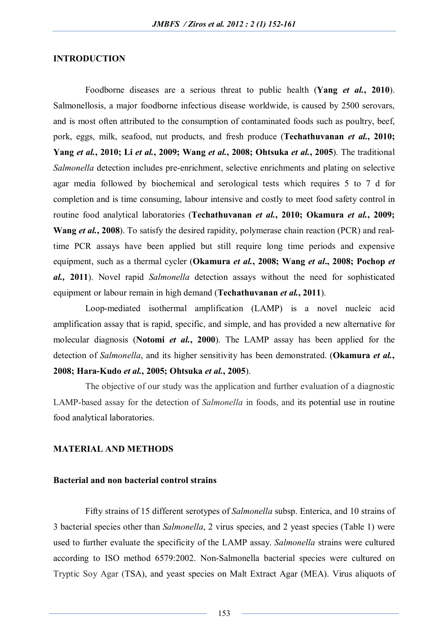#### **INTRODUCTION**

Foodborne diseases are a serious threat to public health (**Yang** *et al.***, 2010**). Salmonellosis, a major foodborne infectious disease worldwide, is caused by 2500 serovars, and is most often attributed to the consumption of contaminated foods such as poultry, beef, pork, eggs, milk, seafood, nut products, and fresh produce (**Techathuvanan** *et al.***, 2010; Yang** *et al.***, 2010; Li** *et al.***, 2009; Wang** *et al.***, 2008; Ohtsuka** *et al.***, 2005**). The traditional *Salmonella* detection includes pre-enrichment, selective enrichments and plating on selective agar media followed by biochemical and serological tests which requires 5 to 7 d for completion and is time consuming, labour intensive and costly to meet food safety control in routine food analytical laboratories (**Techathuvanan** *et al.***, 2010; Okamura** *et al.***, 2009; Wang** *et al.***, 2008**). To satisfy the desired rapidity, polymerase chain reaction (PCR) and realtime PCR assays have been applied but still require long time periods and expensive equipment, such as a thermal cycler (**Okamura** *et al.***, 2008; Wang** *et al***., 2008; Pochop** *et al.,* **2011**). Novel rapid *Salmonella* detection assays without the need for sophisticated equipment or labour remain in high demand (**Techathuvanan** *et al.***, 2011**).

Loop-mediated isothermal amplification (LAMP) is a novel nucleic acid amplification assay that is rapid, specific, and simple, and has provided a new alternative for molecular diagnosis (**Notomi** *et al.***, 2000**). The LAMP assay has been applied for the detection of *Salmonella*, and its higher sensitivity has been demonstrated. (**Okamura** *et al.***, 2008; Hara-Kudo** *et al.***, 2005; Ohtsuka** *et al.***, 2005**).

The objective of our study was the application and further evaluation of a diagnostic LAMP-based assay for the detection of *Salmonella* in foods, and its potential use in routine food analytical laboratories.

#### **MATERIAL AND METHODS**

## **Bacterial and non bacterial control strains**

Fifty strains of 15 different serotypes of *Salmonella* subsp. Enterica, and 10 strains of 3 bacterial species other than *Salmonella*, 2 virus species, and 2 yeast species (Table 1) were used to further evaluate the specificity of the LAMP assay. *Salmonella* strains were cultured according to ISO method 6579:2002. Non-Salmonella bacterial species were cultured on Tryptic Soy Agar (TSA), and yeast species on Malt Extract Agar (MEA). Virus aliquots of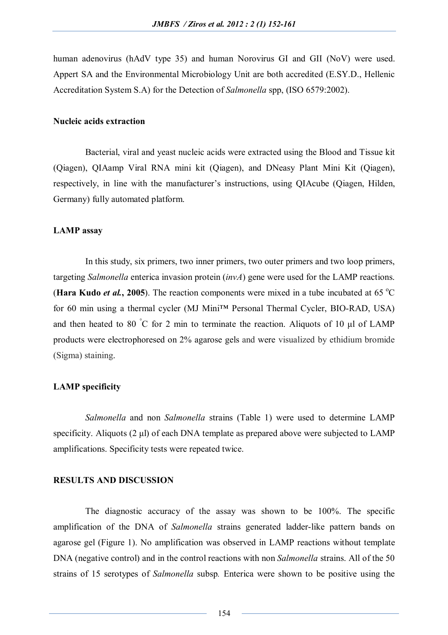human adenovirus (hAdV type 35) and human Norovirus GI and GII (NoV) were used. Appert SA and the Environmental Microbiology Unit are both accredited (E.SY.D., Hellenic Accreditation System S.A) for the Detection of *Salmonella* spp, (ISO 6579:2002).

# **Nucleic acids extraction**

Bacterial, viral and yeast nucleic acids were extracted using the Blood and Tissue kit (Qiagen), QIAamp Viral RNA mini kit (Qiagen), and DNeasy Plant Mini Kit (Qiagen), respectively, in line with the manufacturer's instructions, using QIAcube (Qiagen, Hilden, Germany) fully automated platform.

#### **LAMP assay**

In this study, six primers, two inner primers, two outer primers and two loop primers, targeting *Salmonella* enterica invasion protein (*invA*) gene were used for the LAMP reactions. (**Hara Kudo** *et al.***, 2005**). The reaction components were mixed in a tube incubated at 65 °C for 60 min using a thermal cycler (MJ Mini™ Personal Thermal Cycler, BIO-RAD, USA) and then heated to 80  $\degree$ C for 2 min to terminate the reaction. Aliquots of 10 μl of LAMP products were electrophoresed on 2% agarose gels and were visualized by ethidium bromide (Sigma) staining.

## **LAMP specificity**

*Salmonella* and non *Salmonella* strains (Table 1) were used to determine LAMP specificity. Aliquots (2 μl) of each DNA template as prepared above were subjected to LAMP amplifications. Specificity tests were repeated twice.

## **RESULTS AND DISCUSSION**

The diagnostic accuracy of the assay was shown to be 100%. The specific amplification of the DNA of *Salmonella* strains generated ladder-like pattern bands on agarose gel (Figure 1). No amplification was observed in LAMP reactions without template DNA (negative control) and in the control reactions with non *Salmonella* strains. All of the 50 strains of 15 serotypes of *Salmonella* subsp*.* Enterica were shown to be positive using the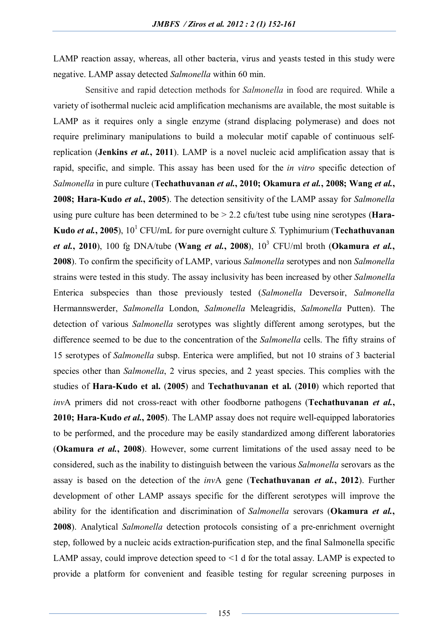LAMP reaction assay, whereas, all other bacteria, virus and yeasts tested in this study were negative. LAMP assay detected *Salmonella* within 60 min.

Sensitive and rapid detection methods for *Salmonella* in food are required. While a variety of isothermal nucleic acid amplification mechanisms are available, the most suitable is LAMP as it requires only a single enzyme (strand displacing polymerase) and does not require preliminary manipulations to build a molecular motif capable of continuous selfreplication (**Jenkins** *et al.***, 2011**). LAMP is a novel nucleic acid amplification assay that is rapid, specific, and simple. This assay has been used for the *in vitro* specific detection of *Salmonella* in pure culture (**Techathuvanan** *et al.***, 2010; Okamura** *et al.***, 2008; Wang** *et al.***, 2008; Hara-Kudo** *et al.***, 2005**). The detection sensitivity of the LAMP assay for *Salmonella*  using pure culture has been determined to be > 2.2 cfu/test tube using nine serotypes (**Hara-Kudo** *et al.***, 2005**), 10<sup>1</sup> CFU**/**mL for pure overnight culture *S.* Typhimurium (**Techathuvanan**  *et al.***, 2010**), 100 fg DNA/tube (**Wang** *et al.***, 2008**), 10<sup>3</sup> CFU/ml broth (**Okamura** *et al.***, 2008**). To confirm the specificity of LAMP, various *Salmonella* serotypes and non *Salmonella* strains were tested in this study. The assay inclusivity has been increased by other *Salmonella*  Enterica subspecies than those previously tested (*Salmonella* Deversoir, *Salmonella* Hermannswerder, *Salmonella* London, *Salmonella* Meleagridis, *Salmonella* Putten). The detection of various *Salmonella* serotypes was slightly different among serotypes, but the difference seemed to be due to the concentration of the *Salmonella* cells. The fifty strains of 15 serotypes of *Salmonella* subsp. Enterica were amplified, but not 10 strains of 3 bacterial species other than *Salmonella*, 2 virus species, and 2 yeast species. This complies with the studies of **Hara-Kudo et al.** (**2005**) and **Techathuvanan et al.** (**2010**) which reported that *inv*A primers did not cross-react with other foodborne pathogens (**Techathuvanan** *et al.***, 2010; Hara-Kudo** *et al.***, 2005**). The LAMP assay does not require well-equipped laboratories to be performed, and the procedure may be easily standardized among different laboratories (**Okamura** *et al.***, 2008**). However, some current limitations of the used assay need to be considered, such as the inability to distinguish between the various *Salmonella* serovars as the assay is based on the detection of the *inv*A gene (**Techathuvanan** *et al.***, 2012**). Further development of other LAMP assays specific for the different serotypes will improve the ability for the identification and discrimination of *Salmonella* serovars (**Okamura** *et al.***, 2008**). Analytical *Salmonella* detection protocols consisting of a pre-enrichment overnight step, followed by a nucleic acids extraction-purification step, and the final Salmonella specific LAMP assay, could improve detection speed to *<*1 d for the total assay. LAMP is expected to provide a platform for convenient and feasible testing for regular screening purposes in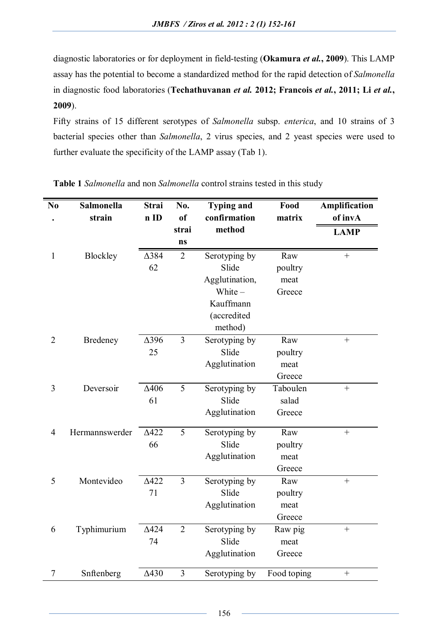diagnostic laboratories or for deployment in field-testing (**Okamura** *et al.***, 2009**). This LAMP assay has the potential to become a standardized method for the rapid detection of *Salmonella* in diagnostic food laboratories (**Techathuvanan** *et al.* **2012; Francois** *et al.***, 2011; Li** *et al.***, 2009**).

Fifty strains of 15 different serotypes of *Salmonella* subsp. *enterica*, and 10 strains of 3 bacterial species other than *Salmonella*, 2 virus species, and 2 yeast species were used to further evaluate the specificity of the LAMP assay (Tab 1).

| N <sub>0</sub> | <b>Salmonella</b> | <b>Strai</b> | No.            | <b>Typing and</b> | Food        | Amplification |
|----------------|-------------------|--------------|----------------|-------------------|-------------|---------------|
|                | strain            | n ID         | <sub>of</sub>  | confirmation      | matrix      | of invA       |
|                |                   |              | strai          | method            |             | <b>LAMP</b>   |
|                |                   |              | ns             |                   |             |               |
| $\mathbf{1}$   | Blockley          | $\Delta$ 384 | $\overline{2}$ | Serotyping by     | Raw         | $^{+}$        |
|                |                   | 62           |                | Slide             | poultry     |               |
|                |                   |              |                | Agglutination,    | meat        |               |
|                |                   |              |                | White-            | Greece      |               |
|                |                   |              |                | Kauffmann         |             |               |
|                |                   |              |                | (accredited       |             |               |
|                |                   |              |                | method)           |             |               |
| $\overline{2}$ | Bredeney          | $\Delta$ 396 | $\overline{3}$ | Serotyping by     | Raw         | $\ddot{}$     |
|                |                   | 25           |                | Slide             | poultry     |               |
|                |                   |              |                | Agglutination     | meat        |               |
|                |                   |              |                |                   | Greece      |               |
| 3              | Deversoir         | $\Delta 406$ | 5              | Serotyping by     | Taboulen    | $+$           |
|                |                   | 61           |                | Slide             | salad       |               |
|                |                   |              |                | Agglutination     | Greece      |               |
| $\overline{4}$ | Hermannswerder    | $\Delta$ 422 | 5              | Serotyping by     | Raw         | $^{+}$        |
|                |                   | 66           |                | Slide             | poultry     |               |
|                |                   |              |                | Agglutination     | meat        |               |
|                |                   |              |                |                   | Greece      |               |
| 5              | Montevideo        | $\Delta$ 422 | $\overline{3}$ | Serotyping by     | Raw         | $\! + \!$     |
|                |                   | 71           |                | Slide             | poultry     |               |
|                |                   |              |                | Agglutination     | meat        |               |
|                |                   |              |                |                   | Greece      |               |
| 6              | Typhimurium       | $\Delta$ 424 | $\overline{2}$ | Serotyping by     | Raw pig     | $+$           |
|                |                   | 74           |                | Slide             | meat        |               |
|                |                   |              |                | Agglutination     | Greece      |               |
| 7              | Snftenberg        | $\Delta$ 430 | $\mathfrak{Z}$ | Serotyping by     | Food toping | $+$           |

**Table 1** *Salmonella* and non *Salmonella* control strains tested in this study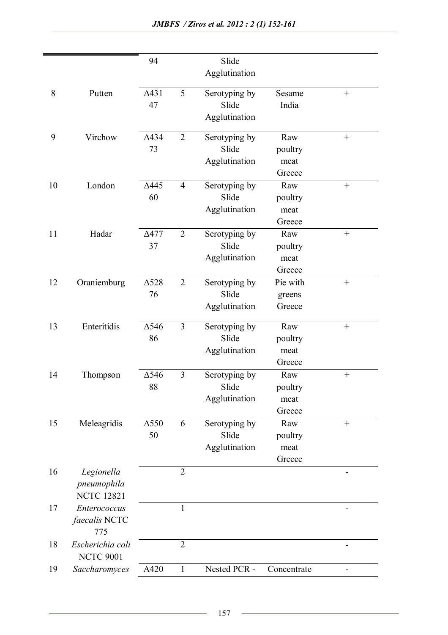|    |                                                | 94                 |                | Slide<br>Agglutination                  |                                  |                  |
|----|------------------------------------------------|--------------------|----------------|-----------------------------------------|----------------------------------|------------------|
| 8  | Putten                                         | $\Delta$ 431<br>47 | 5              | Serotyping by<br>Slide<br>Agglutination | Sesame<br>India                  |                  |
| 9  | Virchow                                        | $\Delta$ 434<br>73 | $\overline{2}$ | Serotyping by<br>Slide<br>Agglutination | Raw<br>poultry<br>meat<br>Greece |                  |
| 10 | London                                         | $\Delta$ 445<br>60 | $\overline{4}$ | Serotyping by<br>Slide<br>Agglutination | Raw<br>poultry<br>meat<br>Greece | $\boldsymbol{+}$ |
| 11 | Hadar                                          | $\Delta$ 477<br>37 | $\overline{2}$ | Serotyping by<br>Slide<br>Agglutination | Raw<br>poultry<br>meat<br>Greece |                  |
| 12 | Oraniemburg                                    | $\Delta$ 528<br>76 | $\overline{2}$ | Serotyping by<br>Slide<br>Agglutination | Pie with<br>greens<br>Greece     |                  |
| 13 | Enteritidis                                    | $\Delta$ 546<br>86 | 3              | Serotyping by<br>Slide<br>Agglutination | Raw<br>poultry<br>meat<br>Greece |                  |
| 14 | Thompson                                       | $\Delta$ 546<br>88 | $\overline{3}$ | Serotyping by<br>Slide<br>Agglutination | Raw<br>poultry<br>meat<br>Greece | $\boldsymbol{+}$ |
| 15 | Meleagridis                                    | $\Delta$ 550<br>50 | 6              | Serotyping by<br>Slide<br>Agglutination | Raw<br>poultry<br>meat<br>Greece | $\! + \!$        |
| 16 | Legionella<br>pneumophila<br><b>NCTC 12821</b> |                    | $\overline{2}$ |                                         |                                  |                  |
| 17 | Enterococcus<br><i>faecalis</i> NCTC<br>775    |                    | 1              |                                         |                                  |                  |
| 18 | Escherichia coli<br><b>NCTC 9001</b>           |                    | $\overline{2}$ |                                         |                                  |                  |
| 19 | Saccharomyces                                  | A420               | $\mathbf{1}$   | Nested PCR -                            | Concentrate                      |                  |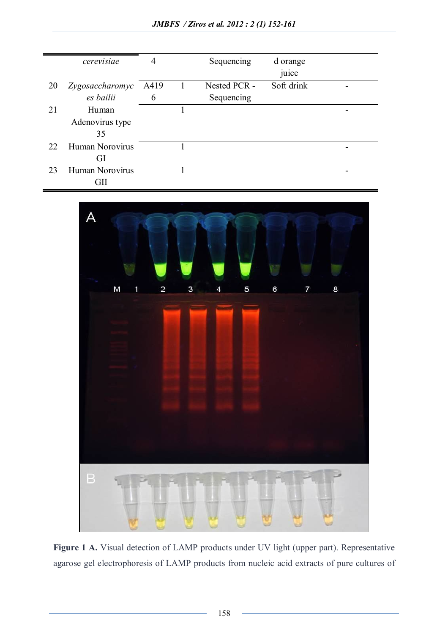|    | cerevisiae      | 4    |   | Sequencing   | d orange<br>juice |  |
|----|-----------------|------|---|--------------|-------------------|--|
| 20 | Zygosaccharomyc | A419 | 1 | Nested PCR - | Soft drink        |  |
|    | es bailii       | 6    |   | Sequencing   |                   |  |
| 21 | Human           |      |   |              |                   |  |
|    | Adenovirus type |      |   |              |                   |  |
|    | 35              |      |   |              |                   |  |
| 22 | Human Norovirus |      |   |              |                   |  |
|    | GI              |      |   |              |                   |  |
| 23 | Human Norovirus |      |   |              |                   |  |
|    | GII             |      |   |              |                   |  |



Figure 1 A. Visual detection of LAMP products under UV light (upper part). Representative agarose gel electrophoresis of LAMP products from nucleic acid extracts of pure cultures of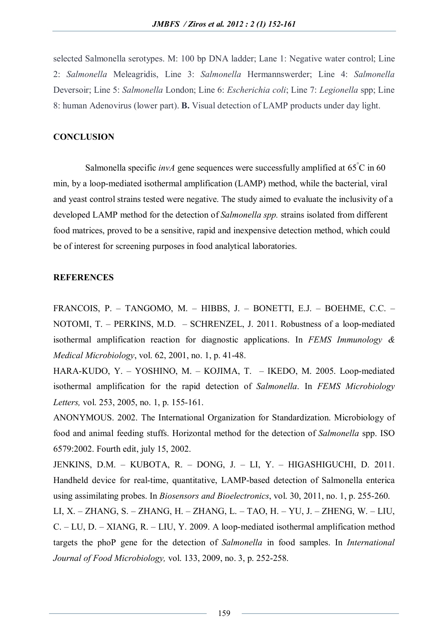selected Salmonella serotypes. M: 100 bp DNA ladder; Lane 1: Negative water control; Line 2: *Salmonella* Meleagridis, Line 3: *Salmonella* Hermannswerder; Line 4: *Salmonella* Deversoir; Line 5: *Salmonella* London; Line 6: *Escherichia coli*; Line 7: *Legionella* spp; Line 8: human Adenovirus (lower part). **B.** Visual detection of LAMP products under day light.

# **CONCLUSION**

Salmonella specific *invA* gene sequences were successfully amplified at 65°C in 60 min, by a loop-mediated isothermal amplification (LAMP) method, while the bacterial, viral and yeast control strains tested were negative. The study aimed to evaluate the inclusivity of a developed LAMP method for the detection of *Salmonella spp.* strains isolated from different food matrices, proved to be a sensitive, rapid and inexpensive detection method, which could be of interest for screening purposes in food analytical laboratories.

#### **REFERENCES**

FRANCOIS, P. – TANGOMO, M. – HIBBS, J. – BONETTI, E.J. – BOEHME, C.C. – NOTOMI, T. – PERKINS, M.D. – SCHRENZEL, J. 2011. Robustness of a loop-mediated isothermal amplification reaction for diagnostic applications. In *FEMS Immunology & Medical Microbiology*, vol. 62, 2001, no. 1, p. 41-48.

HARA-KUDO, Y. – YOSHINO, M. – KOJIMA, T. – IKEDO, M. 2005. Loop-mediated isothermal amplification for the rapid detection of *Salmonella*. In *FEMS Microbiology Letters,* vol. 253, 2005, no. 1, p. 155-161.

ANONYMOUS. 2002. The International Organization for Standardization. Microbiology of food and animal feeding stuffs. Horizontal method for the detection of *Salmonella* spp. ISO 6579:2002. Fourth edit, july 15, 2002.

JENKINS, D.M. – KUBOTA, R. – DONG, J. – LI, Y. – HIGASHIGUCHI, D. 2011. Handheld device for real-time, quantitative, LAMP-based detection of Salmonella enterica using assimilating probes. In *Biosensors and Bioelectronics*, vol. 30, 2011, no. 1, p. 255-260.

LI, X. – ZHANG, S. – ZHANG, H. – ZHANG, L. – TAO, H. – YU, J. – ZHENG, W. – LIU, C. – LU, D. – XIANG, R. – LIU, Y. 2009. A loop-mediated isothermal amplification method targets the phoP gene for the detection of *Salmonella* in food samples. In *International Journal of Food Microbiology,* vol. 133, 2009, no. 3, p. 252-258.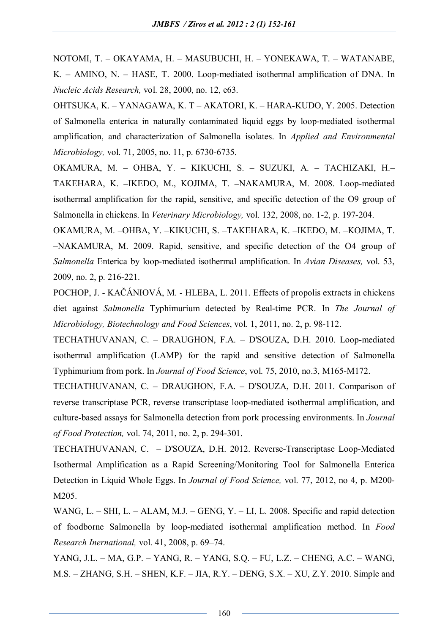NOTOMI, T. – OKAYAMA, H. – MASUBUCHI, H. – YONEKAWA, T. – WATANABE, K. – AMINO, N. – HASE, T. 2000. Loop-mediated isothermal amplification of DNA. In *Nucleic Acids Research,* vol. 28, 2000, no. 12, e63.

OHTSUKA, K. – YANAGAWA, K. T – AKATORI, K. – HARA-KUDO, Y. 2005. Detection of Salmonella enterica in naturally contaminated liquid eggs by loop-mediated isothermal amplification, and characterization of Salmonella isolates. In *Applied and Environmental Microbiology,* vol. 71, 2005, no. 11, p. 6730-6735.

OKAMURA, M. **–** OHBA, Y. **–** KIKUCHI, S. **–** SUZUKI, A. **–** TACHIZAKI, H.**–** TAKEHARA, K. **–**IKEDO, M., KOJIMA, T. **–**NAKAMURA, M. 2008. Loop-mediated isothermal amplification for the rapid, sensitive, and specific detection of the O9 group of Salmonella in chickens. In *Veterinary Microbiology,* vol. 132, 2008, no. 1-2, p. 197-204.

OKAMURA, M. –OHBA, Y. –KIKUCHI, S. –TAKEHARA, K. –IKEDO, M. –KOJIMA, T. –NAKAMURA, M. 2009. Rapid, sensitive, and specific detection of the O4 group of *Salmonella* Enterica by loop-mediated isothermal amplification. In *Avian Diseases,* vol. 53, 2009, no. 2, p. 216-221.

POCHOP, J. - KAČÁNIOVÁ, M. - HLEBA, L. 2011. Effects of propolis extracts in chickens diet against *Salmonella* Typhimurium detected by Real-time PCR. In *The Journal of Microbiology, Biotechnology and Food Sciences*, vol. 1, 2011, no. 2, p. 98-112.

TECHATHUVANAN, C. – DRAUGHON, F.A. – D'SOUZA, D.H. 2010. Loop-mediated isothermal amplification (LAMP) for the rapid and sensitive detection of Salmonella Typhimurium from pork. In *Journal of Food Science*, vol. 75, 2010, no.3, M165-M172.

TECHATHUVANAN, C. – DRAUGHON, F.A. – D'SOUZA, D.H. 2011. Comparison of reverse transcriptase PCR, reverse transcriptase loop-mediated isothermal amplification, and culture-based assays for Salmonella detection from pork processing environments. In *Journal of Food Protection,* vol. 74, 2011, no. 2, p. 294-301.

TECHATHUVANAN, C. – D'SOUZA, D.H. 2012. Reverse-Transcriptase Loop-Mediated Isothermal Amplification as a Rapid Screening/Monitoring Tool for Salmonella Enterica Detection in Liquid Whole Eggs. In *Journal of Food Science,* vol. 77, 2012, no 4, p. M200- M205.

WANG, L. – SHI, L. – ALAM, M.J. – GENG, Y. – LI, L. 2008. Specific and rapid detection of foodborne Salmonella by loop-mediated isothermal amplification method. In *Food Research Inernational,* vol. 41, 2008, p. 69–74.

YANG, J.L. – MA, G.P. – YANG, R. – YANG, S.Q. – FU, L.Z. – CHENG, A.C. – WANG, M.S. – ZHANG, S.H. – SHEN, K.F. – JIA, R.Y. – DENG, S.X. – XU, Z.Y. 2010. Simple and